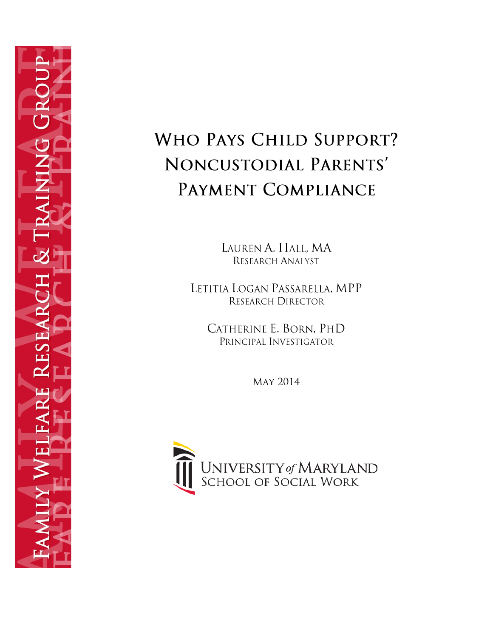

# WHO PAYS CHILD SUPPORT? NONCUSTODIAL PARENTS' PAYMENT COMPLIANCE

LAUREN A. HALL, MA RESEARCH ANALYST

LETITIA LOGAN PASSARELLA, MPP RESEARCH DIRECTOR

CATHERINE E. BORN. PHD PRINCIPAL INVESTIGATOR

**MAY 2014** 

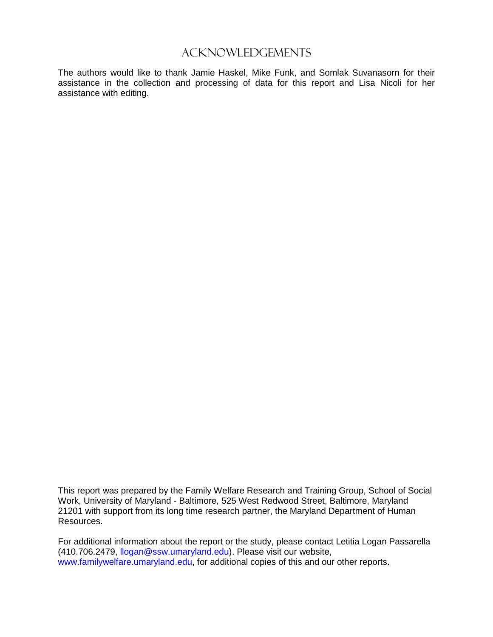### Acknowledgements

The authors would like to thank Jamie Haskel, Mike Funk, and Somlak Suvanasorn for their assistance in the collection and processing of data for this report and Lisa Nicoli for her assistance with editing.

This report was prepared by the Family Welfare Research and Training Group, School of Social Work, University of Maryland - Baltimore, 525 West Redwood Street, Baltimore, Maryland 21201 with support from its long time research partner, the Maryland Department of Human Resources.

For additional information about the report or the study, please contact Letitia Logan Passarella (410.706.2479, [llogan@ssw.umaryland.edu\)](mailto:llogan@ssw.umaryland.edu). Please visit our website, [www.familywelfare.umaryland.edu,](http://www.familywelfare.umaryland.edu/) for additional copies of this and our other reports.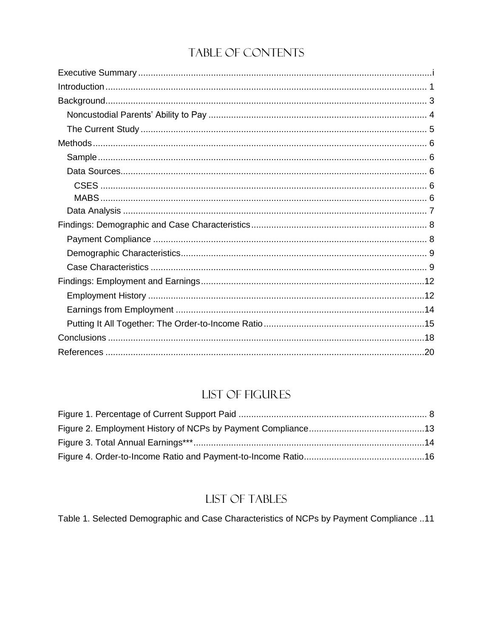# TABLE OF CONTENTS

# **LIST OF FIGURES**

# LIST OF TABLES

Table 1. Selected Demographic and Case Characteristics of NCPs by Payment Compliance ..11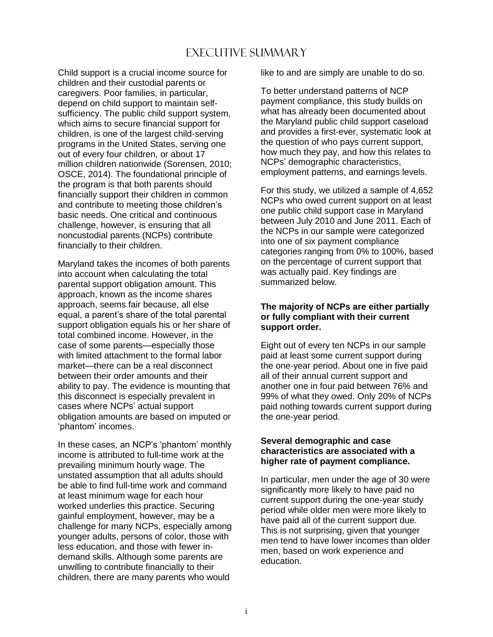# Executive Summary

<span id="page-3-0"></span>Child support is a crucial income source for children and their custodial parents or caregivers. Poor families, in particular, depend on child support to maintain selfsufficiency. The public child support system, which aims to secure financial support for children, is one of the largest child-serving programs in the United States, serving one out of every four children, or about 17 million children nationwide (Sorensen, 2010; OSCE, 2014). The foundational principle of the program is that both parents should financially support their children in common and contribute to meeting those children's basic needs. One critical and continuous challenge, however, is ensuring that all noncustodial parents (NCPs) contribute financially to their children.

Maryland takes the incomes of both parents into account when calculating the total parental support obligation amount. This approach, known as the income shares approach, seems fair because, all else equal, a parent's share of the total parental support obligation equals his or her share of total combined income. However, in the case of some parents—especially those with limited attachment to the formal labor market—there can be a real disconnect between their order amounts and their ability to pay. The evidence is mounting that this disconnect is especially prevalent in cases where NCPs' actual support obligation amounts are based on imputed or 'phantom' incomes.

In these cases, an NCP's 'phantom' monthly income is attributed to full-time work at the prevailing minimum hourly wage. The unstated assumption that all adults should be able to find full-time work and command at least minimum wage for each hour worked underlies this practice. Securing gainful employment, however, may be a challenge for many NCPs, especially among younger adults, persons of color, those with less education, and those with fewer indemand skills. Although some parents are unwilling to contribute financially to their children, there are many parents who would

like to and are simply are unable to do so.

To better understand patterns of NCP payment compliance, this study builds on what has already been documented about the Maryland public child support caseload and provides a first-ever, systematic look at the question of who pays current support, how much they pay, and how this relates to NCPs' demographic characteristics, employment patterns, and earnings levels.

For this study, we utilized a sample of 4,652 NCPs who owed current support on at least one public child support case in Maryland between July 2010 and June 2011. Each of the NCPs in our sample were categorized into one of six payment compliance categories ranging from 0% to 100%, based on the percentage of current support that was actually paid. Key findings are summarized below.

#### **The majority of NCPs are either partially or fully compliant with their current support order.**

Eight out of every ten NCPs in our sample paid at least some current support during the one-year period. About one in five paid all of their annual current support and another one in four paid between 76% and 99% of what they owed. Only 20% of NCPs paid nothing towards current support during the one-year period.

#### **Several demographic and case characteristics are associated with a higher rate of payment compliance.**

In particular, men under the age of 30 were significantly more likely to have paid no current support during the one-year study period while older men were more likely to have paid all of the current support due. This is not surprising, given that younger men tend to have lower incomes than older men, based on work experience and education.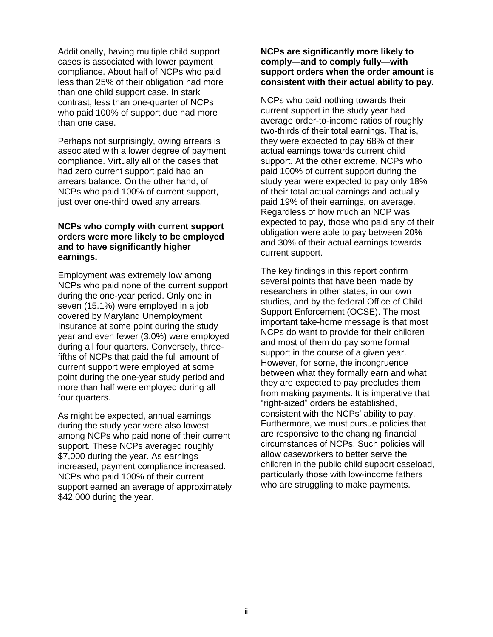Additionally, having multiple child support cases is associated with lower payment compliance. About half of NCPs who paid less than 25% of their obligation had more than one child support case. In stark contrast, less than one-quarter of NCPs who paid 100% of support due had more than one case.

Perhaps not surprisingly, owing arrears is associated with a lower degree of payment compliance. Virtually all of the cases that had zero current support paid had an arrears balance. On the other hand, of NCPs who paid 100% of current support, just over one-third owed any arrears.

#### **NCPs who comply with current support orders were more likely to be employed and to have significantly higher earnings.**

Employment was extremely low among NCPs who paid none of the current support during the one-year period. Only one in seven (15.1%) were employed in a job covered by Maryland Unemployment Insurance at some point during the study year and even fewer (3.0%) were employed during all four quarters. Conversely, threefifths of NCPs that paid the full amount of current support were employed at some point during the one-year study period and more than half were employed during all four quarters.

As might be expected, annual earnings during the study year were also lowest among NCPs who paid none of their current support. These NCPs averaged roughly \$7,000 during the year. As earnings increased, payment compliance increased. NCPs who paid 100% of their current support earned an average of approximately \$42,000 during the year.

#### **NCPs are significantly more likely to comply—and to comply fully—with support orders when the order amount is consistent with their actual ability to pay.**

NCPs who paid nothing towards their current support in the study year had average order-to-income ratios of roughly two-thirds of their total earnings. That is, they were expected to pay 68% of their actual earnings towards current child support. At the other extreme, NCPs who paid 100% of current support during the study year were expected to pay only 18% of their total actual earnings and actually paid 19% of their earnings, on average. Regardless of how much an NCP was expected to pay, those who paid any of their obligation were able to pay between 20% and 30% of their actual earnings towards current support.

The key findings in this report confirm several points that have been made by researchers in other states, in our own studies, and by the federal Office of Child Support Enforcement (OCSE). The most important take-home message is that most NCPs do want to provide for their children and most of them do pay some formal support in the course of a given year. However, for some, the incongruence between what they formally earn and what they are expected to pay precludes them from making payments. It is imperative that "right-sized" orders be established, consistent with the NCPs' ability to pay. Furthermore, we must pursue policies that are responsive to the changing financial circumstances of NCPs. Such policies will allow caseworkers to better serve the children in the public child support caseload, particularly those with low-income fathers who are struggling to make payments.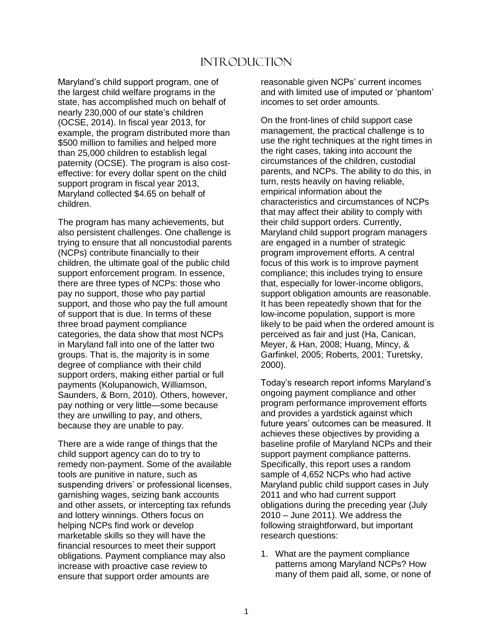## Introduction

<span id="page-5-0"></span>Maryland's child support program, one of the largest child welfare programs in the state, has accomplished much on behalf of nearly 230,000 of our state's children (OCSE, 2014). In fiscal year 2013, for example, the program distributed more than \$500 million to families and helped more than 25,000 children to establish legal paternity (OCSE). The program is also costeffective: for every dollar spent on the child support program in fiscal year 2013, Maryland collected \$4.65 on behalf of children.

The program has many achievements, but also persistent challenges. One challenge is trying to ensure that all noncustodial parents (NCPs) contribute financially to their children, the ultimate goal of the public child support enforcement program. In essence, there are three types of NCPs: those who pay no support, those who pay partial support, and those who pay the full amount of support that is due. In terms of these three broad payment compliance categories, the data show that most NCPs in Maryland fall into one of the latter two groups. That is, the majority is in some degree of compliance with their child support orders, making either partial or full payments (Kolupanowich, Williamson, Saunders, & Born, 2010). Others, however, pay nothing or very little—some because they are unwilling to pay, and others, because they are unable to pay.

There are a wide range of things that the child support agency can do to try to remedy non-payment. Some of the available tools are punitive in nature, such as suspending drivers' or professional licenses, garnishing wages, seizing bank accounts and other assets, or intercepting tax refunds and lottery winnings. Others focus on helping NCPs find work or develop marketable skills so they will have the financial resources to meet their support obligations. Payment compliance may also increase with proactive case review to ensure that support order amounts are

reasonable given NCPs' current incomes and with limited use of imputed or 'phantom' incomes to set order amounts.

On the front-lines of child support case management, the practical challenge is to use the right techniques at the right times in the right cases, taking into account the circumstances of the children, custodial parents, and NCPs. The ability to do this, in turn, rests heavily on having reliable, empirical information about the characteristics and circumstances of NCPs that may affect their ability to comply with their child support orders. Currently, Maryland child support program managers are engaged in a number of strategic program improvement efforts. A central focus of this work is to improve payment compliance; this includes trying to ensure that, especially for lower-income obligors, support obligation amounts are reasonable. It has been repeatedly shown that for the low-income population, support is more likely to be paid when the ordered amount is perceived as fair and just (Ha, Canican, Meyer, & Han, 2008; Huang, Mincy, & Garfinkel, 2005; Roberts, 2001; Turetsky, 2000).

Today's research report informs Maryland's ongoing payment compliance and other program performance improvement efforts and provides a yardstick against which future years' outcomes can be measured. It achieves these objectives by providing a baseline profile of Maryland NCPs and their support payment compliance patterns. Specifically, this report uses a random sample of 4,652 NCPs who had active Maryland public child support cases in July 2011 and who had current support obligations during the preceding year (July 2010 – June 2011). We address the following straightforward, but important research questions:

1. What are the payment compliance patterns among Maryland NCPs? How many of them paid all, some, or none of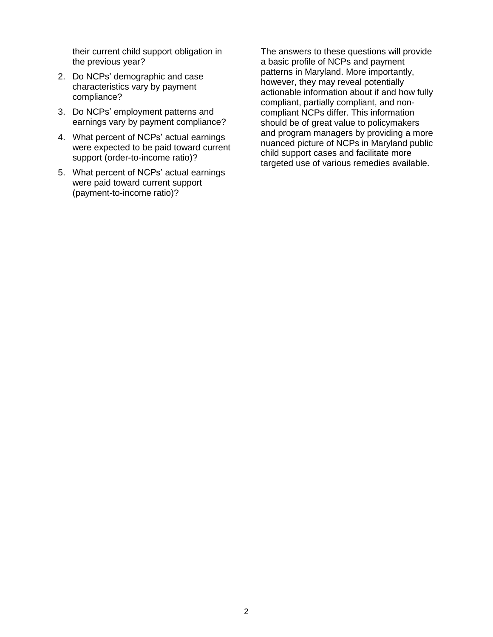their current child support obligation in the previous year?

- 2. Do NCPs' demographic and case characteristics vary by payment compliance?
- 3. Do NCPs' employment patterns and earnings vary by payment compliance?
- 4. What percent of NCPs' actual earnings were expected to be paid toward current support (order-to-income ratio)?
- 5. What percent of NCPs' actual earnings were paid toward current support (payment-to-income ratio)?

The answers to these questions will provide a basic profile of NCPs and payment patterns in Maryland. More importantly, however, they may reveal potentially actionable information about if and how fully compliant, partially compliant, and noncompliant NCPs differ. This information should be of great value to policymakers and program managers by providing a more nuanced picture of NCPs in Maryland public child support cases and facilitate more targeted use of various remedies available.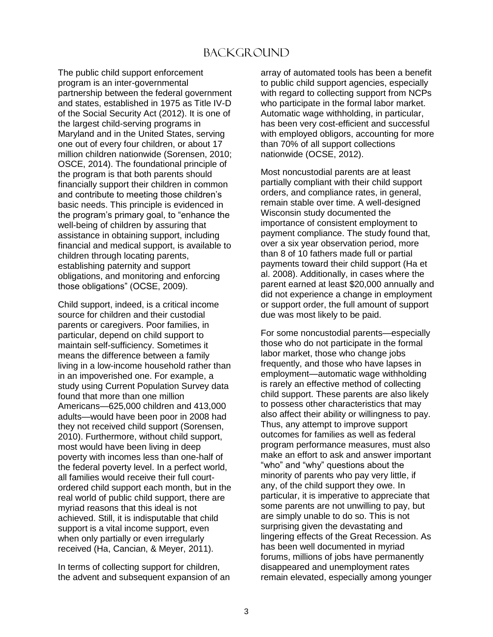# **BACKGROUND**

<span id="page-7-0"></span>The public child support enforcement program is an inter-governmental partnership between the federal government and states, established in 1975 as Title IV-D of the Social Security Act (2012). It is one of the largest child-serving programs in Maryland and in the United States, serving one out of every four children, or about 17 million children nationwide (Sorensen, 2010; OSCE, 2014). The foundational principle of the program is that both parents should financially support their children in common and contribute to meeting those children's basic needs. This principle is evidenced in the program's primary goal, to "enhance the well-being of children by assuring that assistance in obtaining support, including financial and medical support, is available to children through locating parents, establishing paternity and support obligations, and monitoring and enforcing those obligations" (OCSE, 2009).

Child support, indeed, is a critical income source for children and their custodial parents or caregivers. Poor families, in particular, depend on child support to maintain self-sufficiency. Sometimes it means the difference between a family living in a low-income household rather than in an impoverished one. For example, a study using Current Population Survey data found that more than one million Americans—625,000 children and 413,000 adults—would have been poor in 2008 had they not received child support (Sorensen, 2010). Furthermore, without child support, most would have been living in deep poverty with incomes less than one-half of the federal poverty level. In a perfect world, all families would receive their full courtordered child support each month, but in the real world of public child support, there are myriad reasons that this ideal is not achieved. Still, it is indisputable that child support is a vital income support, even when only partially or even irregularly received (Ha, Cancian, & Meyer, 2011).

In terms of collecting support for children, the advent and subsequent expansion of an array of automated tools has been a benefit to public child support agencies, especially with regard to collecting support from NCPs who participate in the formal labor market. Automatic wage withholding, in particular, has been very cost-efficient and successful with employed obligors, accounting for more than 70% of all support collections nationwide (OCSE, 2012).

Most noncustodial parents are at least partially compliant with their child support orders, and compliance rates, in general, remain stable over time. A well-designed Wisconsin study documented the importance of consistent employment to payment compliance. The study found that, over a six year observation period, more than 8 of 10 fathers made full or partial payments toward their child support (Ha et al. 2008). Additionally, in cases where the parent earned at least \$20,000 annually and did not experience a change in employment or support order, the full amount of support due was most likely to be paid.

For some noncustodial parents—especially those who do not participate in the formal labor market, those who change jobs frequently, and those who have lapses in employment—automatic wage withholding is rarely an effective method of collecting child support. These parents are also likely to possess other characteristics that may also affect their ability or willingness to pay. Thus, any attempt to improve support outcomes for families as well as federal program performance measures, must also make an effort to ask and answer important "who" and "why" questions about the minority of parents who pay very little, if any, of the child support they owe. In particular, it is imperative to appreciate that some parents are not unwilling to pay, but are simply unable to do so. This is not surprising given the devastating and lingering effects of the Great Recession. As has been well documented in myriad forums, millions of jobs have permanently disappeared and unemployment rates remain elevated, especially among younger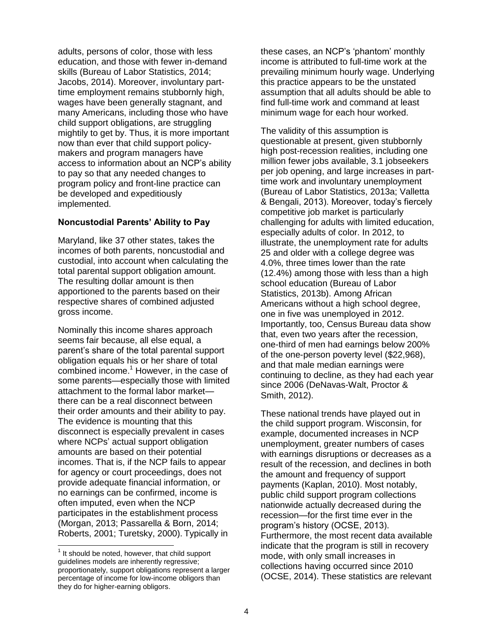adults, persons of color, those with less education, and those with fewer in-demand skills (Bureau of Labor Statistics, 2014; Jacobs, 2014). Moreover, involuntary parttime employment remains stubbornly high, wages have been generally stagnant, and many Americans, including those who have child support obligations, are struggling mightily to get by. Thus, it is more important now than ever that child support policymakers and program managers have access to information about an NCP's ability to pay so that any needed changes to program policy and front-line practice can be developed and expeditiously implemented.

#### <span id="page-8-0"></span>**Noncustodial Parents' Ability to Pay**

Maryland, like 37 other states, takes the incomes of both parents, noncustodial and custodial, into account when calculating the total parental support obligation amount. The resulting dollar amount is then apportioned to the parents based on their respective shares of combined adjusted gross income.

Nominally this income shares approach seems fair because, all else equal, a parent's share of the total parental support obligation equals his or her share of total combined income.<sup>1</sup> However, in the case of some parents—especially those with limited attachment to the formal labor market there can be a real disconnect between their order amounts and their ability to pay. The evidence is mounting that this disconnect is especially prevalent in cases where NCPs' actual support obligation amounts are based on their potential incomes. That is, if the NCP fails to appear for agency or court proceedings, does not provide adequate financial information, or no earnings can be confirmed, income is often imputed, even when the NCP participates in the establishment process (Morgan, 2013; Passarella & Born, 2014; Roberts, 2001; Turetsky, 2000). Typically in

l

these cases, an NCP's 'phantom' monthly income is attributed to full-time work at the prevailing minimum hourly wage. Underlying this practice appears to be the unstated assumption that all adults should be able to find full-time work and command at least minimum wage for each hour worked.

The validity of this assumption is questionable at present, given stubbornly high post-recession realities, including one million fewer jobs available, 3.1 jobseekers per job opening, and large increases in parttime work and involuntary unemployment (Bureau of Labor Statistics, 2013a; Valletta & Bengali, 2013). Moreover, today's fiercely competitive job market is particularly challenging for adults with limited education, especially adults of color. In 2012, to illustrate, the unemployment rate for adults 25 and older with a college degree was 4.0%, three times lower than the rate (12.4%) among those with less than a high school education (Bureau of Labor Statistics, 2013b). Among African Americans without a high school degree, one in five was unemployed in 2012. Importantly, too, Census Bureau data show that, even two years after the recession, one-third of men had earnings below 200% of the one-person poverty level (\$22,968), and that male median earnings were continuing to decline, as they had each year since 2006 (DeNavas-Walt, Proctor & Smith, 2012).

These national trends have played out in the child support program. Wisconsin, for example, documented increases in NCP unemployment, greater numbers of cases with earnings disruptions or decreases as a result of the recession, and declines in both the amount and frequency of support payments (Kaplan, 2010). Most notably, public child support program collections nationwide actually decreased during the recession—for the first time ever in the program's history (OCSE, 2013). Furthermore, the most recent data available indicate that the program is still in recovery mode, with only small increases in collections having occurred since 2010 (OCSE, 2014). These statistics are relevant

 $<sup>1</sup>$  It should be noted, however, that child support</sup> guidelines models are inherently regressive; proportionately, support obligations represent a larger percentage of income for low-income obligors than they do for higher-earning obligors.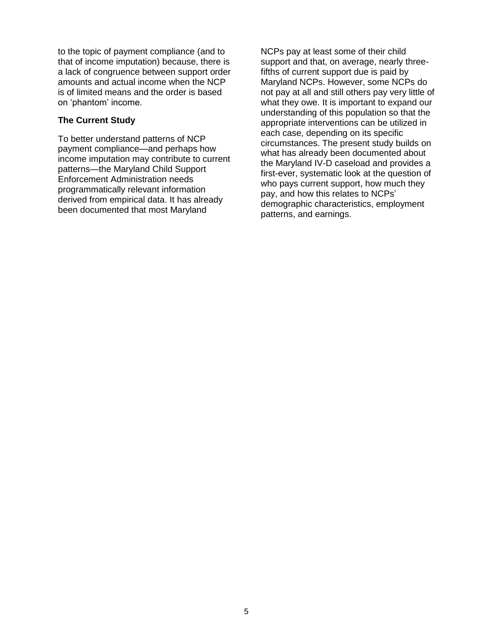to the topic of payment compliance (and to that of income imputation) because, there is a lack of congruence between support order amounts and actual income when the NCP is of limited means and the order is based on 'phantom' income.

#### <span id="page-9-0"></span>**The Current Study**

To better understand patterns of NCP payment compliance—and perhaps how income imputation may contribute to current patterns—the Maryland Child Support Enforcement Administration needs programmatically relevant information derived from empirical data. It has already been documented that most Maryland

NCPs pay at least some of their child support and that, on average, nearly threefifths of current support due is paid by Maryland NCPs. However, some NCPs do not pay at all and still others pay very little of what they owe. It is important to expand our understanding of this population so that the appropriate interventions can be utilized in each case, depending on its specific circumstances. The present study builds on what has already been documented about the Maryland IV-D caseload and provides a first-ever, systematic look at the question of who pays current support, how much they pay, and how this relates to NCPs' demographic characteristics, employment patterns, and earnings.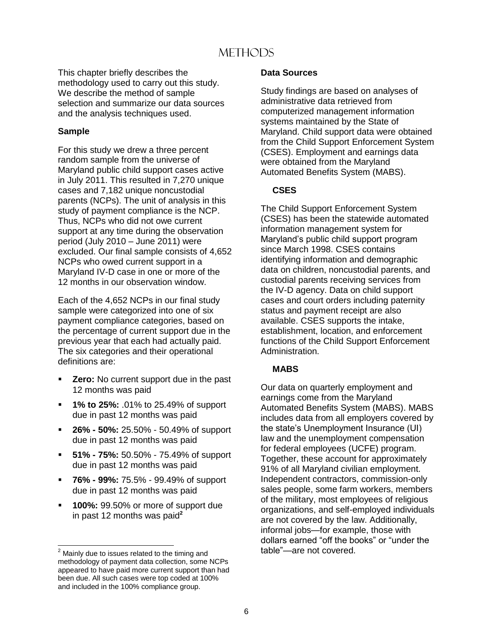# **METHODS**

<span id="page-10-0"></span>This chapter briefly describes the methodology used to carry out this study. We describe the method of sample selection and summarize our data sources and the analysis techniques used.

#### <span id="page-10-1"></span>**Sample**

For this study we drew a three percent random sample from the universe of Maryland public child support cases active in July 2011. This resulted in 7,270 unique cases and 7,182 unique noncustodial parents (NCPs). The unit of analysis in this study of payment compliance is the NCP. Thus, NCPs who did not owe current support at any time during the observation period (July 2010 – June 2011) were excluded. Our final sample consists of 4,652 NCPs who owed current support in a Maryland IV-D case in one or more of the 12 months in our observation window.

Each of the 4,652 NCPs in our final study sample were categorized into one of six payment compliance categories, based on the percentage of current support due in the previous year that each had actually paid. The six categories and their operational definitions are:

- **Zero:** No current support due in the past 12 months was paid
- **1% to 25%:** .01% to 25.49% of support due in past 12 months was paid
- **26% - 50%:** 25.50% 50.49% of support due in past 12 months was paid
- **51% - 75%:** 50.50% 75.49% of support due in past 12 months was paid
- **76% - 99%:** 75.5% 99.49% of support due in past 12 months was paid
- **100%:** 99.50% or more of support due in past 12 months was paid**<sup>2</sup>**

l

#### <span id="page-10-2"></span>**Data Sources**

Study findings are based on analyses of administrative data retrieved from computerized management information systems maintained by the State of Maryland. Child support data were obtained from the Child Support Enforcement System (CSES). Employment and earnings data were obtained from the Maryland Automated Benefits System (MABS).

#### <span id="page-10-3"></span>**CSES**

The Child Support Enforcement System (CSES) has been the statewide automated information management system for Maryland's public child support program since March 1998. CSES contains identifying information and demographic data on children, noncustodial parents, and custodial parents receiving services from the IV-D agency. Data on child support cases and court orders including paternity status and payment receipt are also available. CSES supports the intake, establishment, location, and enforcement functions of the Child Support Enforcement Administration.

#### <span id="page-10-4"></span>**MABS**

Our data on quarterly employment and earnings come from the Maryland Automated Benefits System (MABS). MABS includes data from all employers covered by the state's Unemployment Insurance (UI) law and the unemployment compensation for federal employees (UCFE) program. Together, these account for approximately 91% of all Maryland civilian employment. Independent contractors, commission-only sales people, some farm workers, members of the military, most employees of religious organizations, and self-employed individuals are not covered by the law. Additionally, informal jobs—for example, those with dollars earned "off the books" or "under the table"—are not covered.

 $2$  Mainly due to issues related to the timing and methodology of payment data collection, some NCPs appeared to have paid more current support than had been due. All such cases were top coded at 100% and included in the 100% compliance group.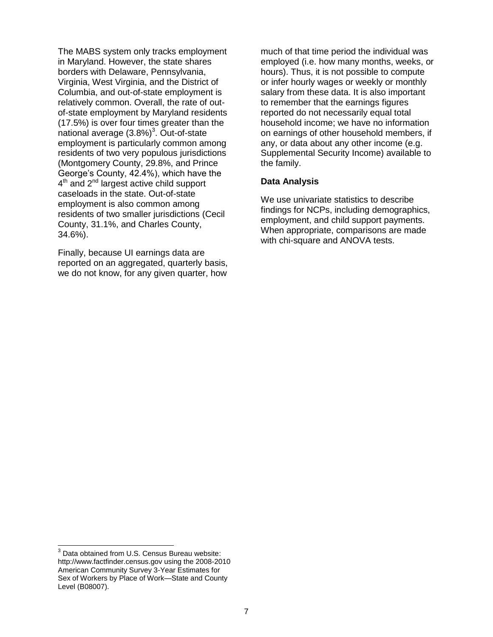The MABS system only tracks employment in Maryland. However, the state shares borders with Delaware, Pennsylvania, Virginia, West Virginia, and the District of Columbia, and out-of-state employment is relatively common. Overall, the rate of outof-state employment by Maryland residents (17.5%) is over four times greater than the national average  $(3.8\%)^3$ . Out-of-state employment is particularly common among residents of two very populous jurisdictions (Montgomery County, 29.8%, and Prince George's County, 42.4%), which have the 4<sup>th</sup> and 2<sup>nd</sup> largest active child support caseloads in the state. Out-of-state employment is also common among residents of two smaller jurisdictions (Cecil County, 31.1%, and Charles County, 34.6%).

Finally, because UI earnings data are reported on an aggregated, quarterly basis, we do not know, for any given quarter, how much of that time period the individual was employed (i.e. how many months, weeks, or hours). Thus, it is not possible to compute or infer hourly wages or weekly or monthly salary from these data. It is also important to remember that the earnings figures reported do not necessarily equal total household income; we have no information on earnings of other household members, if any, or data about any other income (e.g. Supplemental Security Income) available to the family.

#### <span id="page-11-0"></span>**Data Analysis**

We use univariate statistics to describe findings for NCPs, including demographics, employment, and child support payments. When appropriate, comparisons are made with chi-square and ANOVA tests.

l

 $3$  Data obtained from U.S. Census Bureau website: http://www.factfinder.census.gov using the 2008-2010 American Community Survey 3-Year Estimates for Sex of Workers by Place of Work—State and County Level (B08007).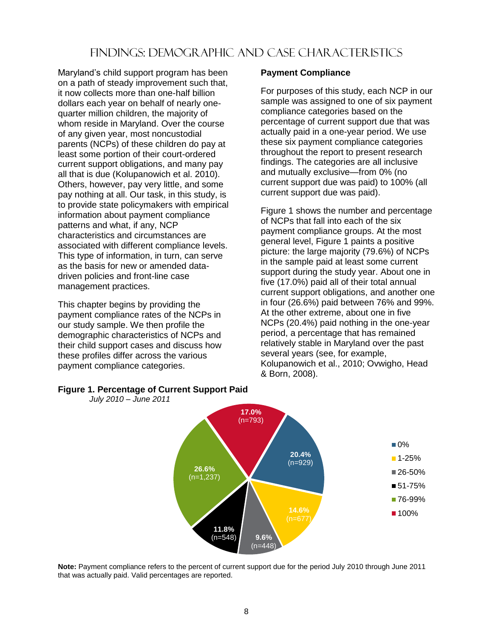# Findings: Demographic and Case Characteristics

<span id="page-12-0"></span>Maryland's child support program has been on a path of steady improvement such that, it now collects more than one-half billion dollars each year on behalf of nearly onequarter million children, the majority of whom reside in Maryland. Over the course of any given year, most noncustodial parents (NCPs) of these children do pay at least some portion of their court-ordered current support obligations, and many pay all that is due (Kolupanowich et al. 2010). Others, however, pay very little, and some pay nothing at all. Our task, in this study, is to provide state policymakers with empirical information about payment compliance patterns and what, if any, NCP characteristics and circumstances are associated with different compliance levels. This type of information, in turn, can serve as the basis for new or amended datadriven policies and front-line case management practices.

This chapter begins by providing the payment compliance rates of the NCPs in our study sample. We then profile the demographic characteristics of NCPs and their child support cases and discuss how these profiles differ across the various payment compliance categories.

#### <span id="page-12-1"></span>**Payment Compliance**

For purposes of this study, each NCP in our sample was assigned to one of six payment compliance categories based on the percentage of current support due that was actually paid in a one-year period. We use these six payment compliance categories throughout the report to present research findings. The categories are all inclusive and mutually exclusive—from 0% (no current support due was paid) to 100% (all current support due was paid).

Figure 1 shows the number and percentage of NCPs that fall into each of the six payment compliance groups. At the most general level, Figure 1 paints a positive picture: the large majority (79.6%) of NCPs in the sample paid at least some current support during the study year. About one in five (17.0%) paid all of their total annual current support obligations, and another one in four (26.6%) paid between 76% and 99%. At the other extreme, about one in five NCPs (20.4%) paid nothing in the one-year period, a percentage that has remained relatively stable in Maryland over the past several years (see, for example, Kolupanowich et al., 2010; Ovwigho, Head & Born, 2008).



#### <span id="page-12-2"></span>**Figure 1. Percentage of Current Support Paid**

*July 2010 – June 2011*

**Note:** Payment compliance refers to the percent of current support due for the period July 2010 through June 2011 that was actually paid. Valid percentages are reported.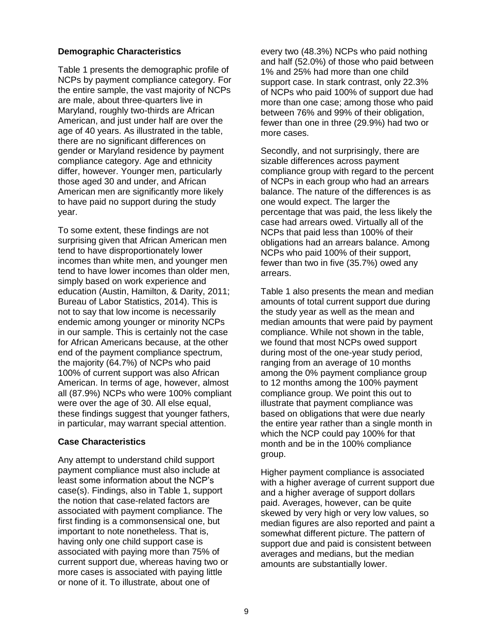#### <span id="page-13-0"></span>**Demographic Characteristics**

Table 1 presents the demographic profile of NCPs by payment compliance category. For the entire sample, the vast majority of NCPs are male, about three-quarters live in Maryland, roughly two-thirds are African American, and just under half are over the age of 40 years. As illustrated in the table, there are no significant differences on gender or Maryland residence by payment compliance category. Age and ethnicity differ, however. Younger men, particularly those aged 30 and under, and African American men are significantly more likely to have paid no support during the study year.

To some extent, these findings are not surprising given that African American men tend to have disproportionately lower incomes than white men, and younger men tend to have lower incomes than older men, simply based on work experience and education (Austin, Hamilton, & Darity, 2011; Bureau of Labor Statistics, 2014). This is not to say that low income is necessarily endemic among younger or minority NCPs in our sample. This is certainly not the case for African Americans because, at the other end of the payment compliance spectrum, the majority (64.7%) of NCPs who paid 100% of current support was also African American. In terms of age, however, almost all (87.9%) NCPs who were 100% compliant were over the age of 30. All else equal, these findings suggest that younger fathers, in particular, may warrant special attention.

#### <span id="page-13-1"></span>**Case Characteristics**

Any attempt to understand child support payment compliance must also include at least some information about the NCP's case(s). Findings, also in Table 1, support the notion that case-related factors are associated with payment compliance. The first finding is a commonsensical one, but important to note nonetheless. That is, having only one child support case is associated with paying more than 75% of current support due, whereas having two or more cases is associated with paying little or none of it. To illustrate, about one of

every two (48.3%) NCPs who paid nothing and half (52.0%) of those who paid between 1% and 25% had more than one child support case. In stark contrast, only 22.3% of NCPs who paid 100% of support due had more than one case; among those who paid between 76% and 99% of their obligation, fewer than one in three (29.9%) had two or more cases.

Secondly, and not surprisingly, there are sizable differences across payment compliance group with regard to the percent of NCPs in each group who had an arrears balance. The nature of the differences is as one would expect. The larger the percentage that was paid, the less likely the case had arrears owed. Virtually all of the NCPs that paid less than 100% of their obligations had an arrears balance. Among NCPs who paid 100% of their support, fewer than two in five (35.7%) owed any arrears.

Table 1 also presents the mean and median amounts of total current support due during the study year as well as the mean and median amounts that were paid by payment compliance. While not shown in the table, we found that most NCPs owed support during most of the one-year study period, ranging from an average of 10 months among the 0% payment compliance group to 12 months among the 100% payment compliance group. We point this out to illustrate that payment compliance was based on obligations that were due nearly the entire year rather than a single month in which the NCP could pay 100% for that month and be in the 100% compliance group.

Higher payment compliance is associated with a higher average of current support due and a higher average of support dollars paid. Averages, however, can be quite skewed by very high or very low values, so median figures are also reported and paint a somewhat different picture. The pattern of support due and paid is consistent between averages and medians, but the median amounts are substantially lower.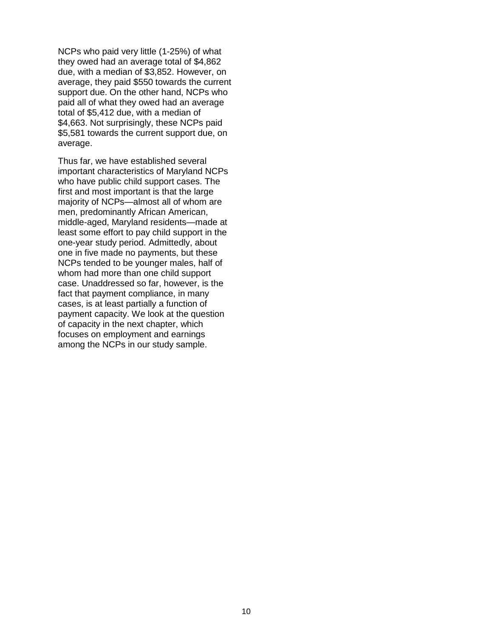NCPs who paid very little (1-25%) of what they owed had an average total of \$4,862 due, with a median of \$3,852. However, on average, they paid \$550 towards the current support due. On the other hand, NCPs who paid all of what they owed had an average total of \$5,412 due, with a median of \$4,663. Not surprisingly, these NCPs paid \$5,581 towards the current support due, on average.

Thus far, we have established several important characteristics of Maryland NCPs who have public child support cases. The first and most important is that the large majority of NCPs—almost all of whom are men, predominantly African American, middle-aged, Maryland residents—made at least some effort to pay child support in the one-year study period. Admittedly, about one in five made no payments, but these NCPs tended to be younger males, half of whom had more than one child support case. Unaddressed so far, however, is the fact that payment compliance, in many cases, is at least partially a function of payment capacity. We look at the question of capacity in the next chapter, which focuses on employment and earnings among the NCPs in our study sample.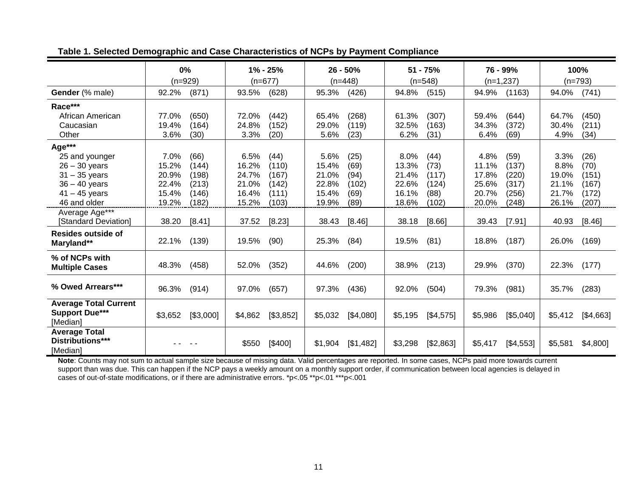<span id="page-15-0"></span>

|                                                                   | 0%                   | 1% - 25%             | $26 - 50%$           | $51 - 75%$           | 76 - 99%             | 100%                 |
|-------------------------------------------------------------------|----------------------|----------------------|----------------------|----------------------|----------------------|----------------------|
|                                                                   | $(n=929)$            | $(n=677)$            | $(n=448)$            | $(n=548)$            | $(n=1,237)$          | $(n=793)$            |
| Gender (% male)                                                   | 92.2%                | 93.5%                | 95.3%                | 94.8%                | 94.9%                | 94.0%                |
|                                                                   | (871)                | (628)                | (426)                | (515)                | (1163)               | (741)                |
| Race***                                                           |                      |                      |                      |                      |                      |                      |
| African American                                                  | 77.0%                | 72.0%                | 65.4%                | 61.3%                | 59.4%                | 64.7%                |
|                                                                   | (650)                | (442)                | (268)                | (307)                | (644)                | (450)                |
| Caucasian                                                         | 19.4%                | 24.8%                | 29.0%                | (163)                | 34.3%                | 30.4%                |
|                                                                   | (164)                | (152)                | (119)                | 32.5%                | (372)                | (211)                |
| Other                                                             | 3.6%                 | 3.3%                 | 5.6%                 | 6.2%                 | 6.4%                 | 4.9%                 |
|                                                                   | (30)                 | (20)                 | (23)                 | (31)                 | (69)                 | (34)                 |
| Age***                                                            |                      |                      |                      |                      |                      |                      |
| 25 and younger                                                    | 7.0%                 | 6.5%                 | 5.6%                 | 8.0%                 | 4.8%                 | 3.3%                 |
|                                                                   | (66)                 | (44)                 | (25)                 | (44)                 | (59)                 | (26)                 |
| $26 - 30$ years                                                   | 15.2%                | 16.2%                | 15.4%                | 13.3%                | 11.1%                | 8.8%                 |
|                                                                   | (144)                | (110)                | (69)                 | (73)                 | (137)                | (70)                 |
| $31 - 35$ years                                                   | 20.9%                | 24.7%                | 21.0%                | 21.4%                | 17.8%                | 19.0%                |
|                                                                   | (198)                | (167)                | (94)                 | (117)                | (220)                | (151)                |
| $36 - 40$ years                                                   | 22.4%                | 21.0%                | 22.8%                | 22.6%                | 25.6%                | 21.1%                |
|                                                                   | (213)                | (142)                | (102)                | (124)                | (317)                | (167)                |
| $41 - 45$ years                                                   | 15.4%                | 16.4%                | 15.4%                | 16.1%                | 20.7%                | 21.7%                |
|                                                                   | (146)                | (111)                | (69)                 | (88)                 | (256)                | (172)                |
| 46 and older                                                      | 19.2%                | 15.2%                | 19.9%                | 18.6%                | 20.0%                | 26.1%                |
|                                                                   | (182)                | (103)                | (89)                 | (102)                | (248)                | (207)                |
| Average Age***                                                    |                      |                      |                      |                      |                      |                      |
| [Standard Deviation]                                              | 38.20                | 37.52                | 38.43                | [8.66]               | [7.91]               | 40.93                |
|                                                                   | [8.41]               | [8.23]               | [8.46]               | 38.18                | 39.43                | [8.46]               |
| Resides outside of                                                | (139)                | 19.5%                | 25.3%                | 19.5%                | 18.8%                | 26.0%                |
| Maryland**                                                        | 22.1%                | (90)                 | (84)                 | (81)                 | (187)                | (169)                |
| % of NCPs with                                                    | 48.3%                | 52.0%                | 44.6%                | 38.9%                | 29.9%                | 22.3%                |
| <b>Multiple Cases</b>                                             | (458)                | (352)                | (200)                | (213)                | (370)                | (177)                |
| % Owed Arrears***                                                 | 96.3%                | 97.0%                | 97.3%                | 92.0%                | 79.3%                | 35.7%                |
|                                                                   | (914)                | (657)                | (436)                | (504)                | (981)                | (283)                |
| <b>Average Total Current</b><br><b>Support Due***</b><br>[Median] | [\$3,000]<br>\$3,652 | \$4,862<br>[\$3,852] | \$5,032<br>[\$4,080] | [\$4,575]<br>\$5,195 | [\$5,040]<br>\$5,986 | \$5,412<br>[\$4,663] |
| <b>Average Total</b><br>Distributions***<br>[Median]              |                      | \$550<br>[\$400]     | [\$1,482]<br>\$1,904 | [\$2,863]<br>\$3,298 | \$5,417<br>[\$4,553] | \$4,800]<br>\$5,581  |

#### **Table 1. Selected Demographic and Case Characteristics of NCPs by Payment Compliance**

**Note**: Counts may not sum to actual sample size because of missing data. Valid percentages are reported. In some cases, NCPs paid more towards current support than was due. This can happen if the NCP pays a weekly amount on a monthly support order, if communication between local agencies is delayed in cases of out-of-state modifications, or if there are administrative errors. \*p<.05 \*\*p<.01 \*\*\*p<.001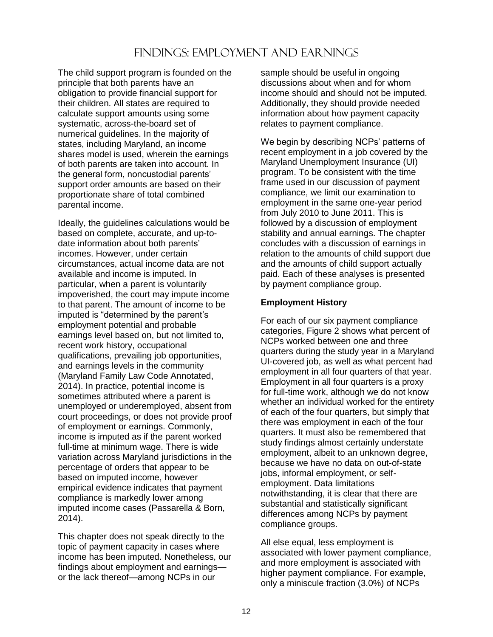# FINDINGS: EMPLOYMENT AND EAR NINGS

<span id="page-16-0"></span>The child support program is founded on the principle that both parents have an obligation to provide financial support for their children. All states are required to calculate support amounts using some systematic, across-the-board set of numerical guidelines. In the majority of states, including Maryland, an income shares model is used, wherein the earnings of both parents are taken into account. In the general form, noncustodial parents' support order amounts are based on their proportionate share of total combined parental income.

Ideally, the guidelines calculations would be based on complete, accurate, and up-todate information about both parents' incomes. However, under certain circumstances, actual income data are not available and income is imputed. In particular, when a parent is voluntarily impoverished, the court may impute income to that parent. The amount of income to be imputed is "determined by the parent's employment potential and probable earnings level based on, but not limited to, recent work history, occupational qualifications, prevailing job opportunities, and earnings levels in the community (Maryland Family Law Code Annotated, 2014). In practice, potential income is sometimes attributed where a parent is unemployed or underemployed, absent from court proceedings, or does not provide proof of employment or earnings. Commonly, income is imputed as if the parent worked full-time at minimum wage. There is wide variation across Maryland jurisdictions in the percentage of orders that appear to be based on imputed income, however empirical evidence indicates that payment compliance is markedly lower among imputed income cases (Passarella & Born, 2014).

This chapter does not speak directly to the topic of payment capacity in cases where income has been imputed. Nonetheless, our findings about employment and earnings or the lack thereof—among NCPs in our

sample should be useful in ongoing discussions about when and for whom income should and should not be imputed. Additionally, they should provide needed information about how payment capacity relates to payment compliance.

We begin by describing NCPs' patterns of recent employment in a job covered by the Maryland Unemployment Insurance (UI) program. To be consistent with the time frame used in our discussion of payment compliance, we limit our examination to employment in the same one-year period from July 2010 to June 2011. This is followed by a discussion of employment stability and annual earnings. The chapter concludes with a discussion of earnings in relation to the amounts of child support due and the amounts of child support actually paid. Each of these analyses is presented by payment compliance group.

#### <span id="page-16-1"></span>**Employment History**

For each of our six payment compliance categories, Figure 2 shows what percent of NCPs worked between one and three quarters during the study year in a Maryland UI-covered job, as well as what percent had employment in all four quarters of that year. Employment in all four quarters is a proxy for full-time work, although we do not know whether an individual worked for the entirety of each of the four quarters, but simply that there was employment in each of the four quarters. It must also be remembered that study findings almost certainly understate employment, albeit to an unknown degree, because we have no data on out-of-state jobs, informal employment, or selfemployment. Data limitations notwithstanding, it is clear that there are substantial and statistically significant differences among NCPs by payment compliance groups.

All else equal, less employment is associated with lower payment compliance, and more employment is associated with higher payment compliance. For example, only a miniscule fraction (3.0%) of NCPs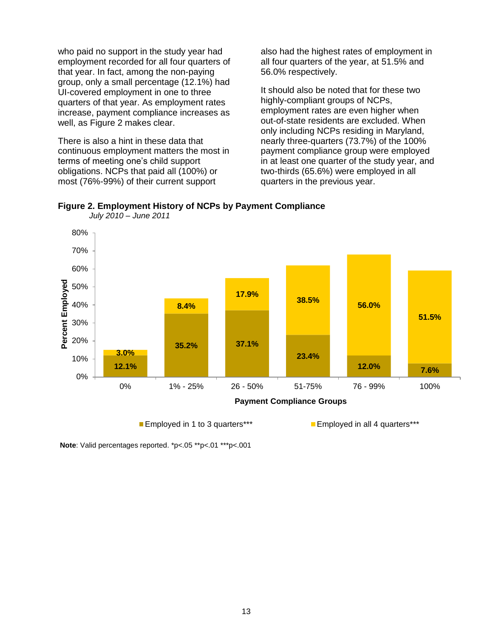who paid no support in the study year had employment recorded for all four quarters of that year. In fact, among the non-paying group, only a small percentage (12.1%) had UI-covered employment in one to three quarters of that year. As employment rates increase, payment compliance increases as well, as Figure 2 makes clear.

There is also a hint in these data that continuous employment matters the most in terms of meeting one's child support obligations. NCPs that paid all (100%) or most (76%-99%) of their current support

also had the highest rates of employment in all four quarters of the year, at 51.5% and 56.0% respectively.

It should also be noted that for these two highly-compliant groups of NCPs, employment rates are even higher when out-of-state residents are excluded. When only including NCPs residing in Maryland, nearly three-quarters (73.7%) of the 100% payment compliance group were employed in at least one quarter of the study year, and two-thirds (65.6%) were employed in all quarters in the previous year.



<span id="page-17-0"></span>**Figure 2. Employment History of NCPs by Payment Compliance** *July 2010 – June 2011*

**Employed in 1 to 3 quarters\*\*\*** Employed in all 4 quarters\*\*\*

**Note**: Valid percentages reported. \*p<.05 \*\*p<.01 \*\*\*p<.001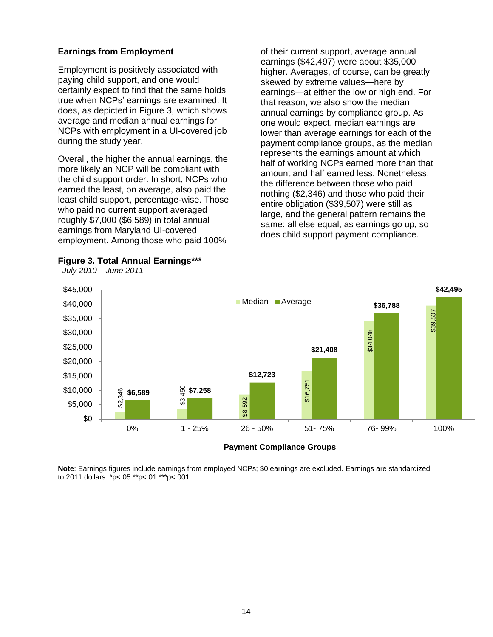#### <span id="page-18-0"></span>**Earnings from Employment**

Employment is positively associated with paying child support, and one would certainly expect to find that the same holds true when NCPs' earnings are examined. It does, as depicted in Figure 3, which shows average and median annual earnings for NCPs with employment in a UI-covered job during the study year.

Overall, the higher the annual earnings, the more likely an NCP will be compliant with the child support order. In short, NCPs who earned the least, on average, also paid the least child support, percentage-wise. Those who paid no current support averaged roughly \$7,000 (\$6,589) in total annual earnings from Maryland UI-covered employment. Among those who paid 100%

<span id="page-18-1"></span>**Figure 3. Total Annual Earnings\*\*\***

 *July 2010 – June 2011*

of their current support, average annual earnings (\$42,497) were about \$35,000 higher. Averages, of course, can be greatly skewed by extreme values—here by earnings—at either the low or high end. For that reason, we also show the median annual earnings by compliance group. As one would expect, median earnings are lower than average earnings for each of the payment compliance groups, as the median represents the earnings amount at which half of working NCPs earned more than that amount and half earned less. Nonetheless, the difference between those who paid nothing (\$2,346) and those who paid their entire obligation (\$39,507) were still as large, and the general pattern remains the same: all else equal, as earnings go up, so does child support payment compliance.

**\$42,495**





Note: Earnings figures include earnings from employed NCPs; \$0 earnings are excluded. Earnings are standardized<br>to 2011 dollars. \*p<.05 \*\*p<.01 \*\*\*p<.001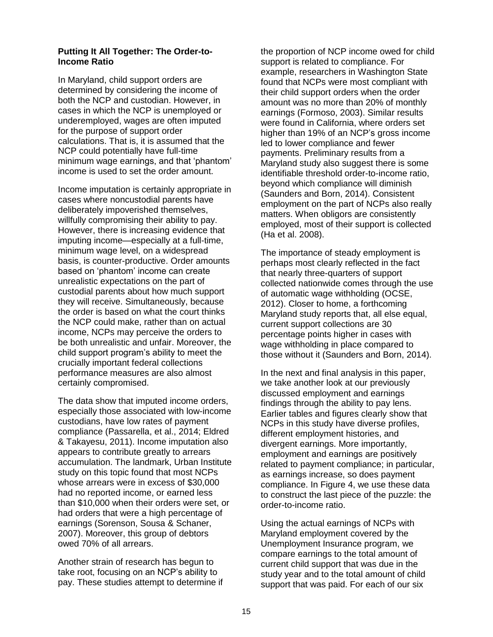#### <span id="page-19-0"></span>**Putting It All Together: The Order-to-Income Ratio**

In Maryland, child support orders are determined by considering the income of both the NCP and custodian. However, in cases in which the NCP is unemployed or underemployed, wages are often imputed for the purpose of support order calculations. That is, it is assumed that the NCP could potentially have full-time minimum wage earnings, and that 'phantom' income is used to set the order amount.

Income imputation is certainly appropriate in cases where noncustodial parents have deliberately impoverished themselves, willfully compromising their ability to pay. However, there is increasing evidence that imputing income—especially at a full-time, minimum wage level, on a widespread basis, is counter-productive. Order amounts based on 'phantom' income can create unrealistic expectations on the part of custodial parents about how much support they will receive. Simultaneously, because the order is based on what the court thinks the NCP could make, rather than on actual income, NCPs may perceive the orders to be both unrealistic and unfair. Moreover, the child support program's ability to meet the crucially important federal collections performance measures are also almost certainly compromised.

The data show that imputed income orders, especially those associated with low-income custodians, have low rates of payment compliance (Passarella, et al., 2014; Eldred & Takayesu, 2011). Income imputation also appears to contribute greatly to arrears accumulation. The landmark, Urban Institute study on this topic found that most NCPs whose arrears were in excess of \$30,000 had no reported income, or earned less than \$10,000 when their orders were set, or had orders that were a high percentage of earnings (Sorenson, Sousa & Schaner, 2007). Moreover, this group of debtors owed 70% of all arrears.

Another strain of research has begun to take root, focusing on an NCP's ability to pay. These studies attempt to determine if the proportion of NCP income owed for child support is related to compliance. For example, researchers in Washington State found that NCPs were most compliant with their child support orders when the order amount was no more than 20% of monthly earnings (Formoso, 2003). Similar results were found in California, where orders set higher than 19% of an NCP's gross income led to lower compliance and fewer payments. Preliminary results from a Maryland study also suggest there is some identifiable threshold order-to-income ratio, beyond which compliance will diminish (Saunders and Born, 2014). Consistent employment on the part of NCPs also really matters. When obligors are consistently employed, most of their support is collected (Ha et al. 2008).

The importance of steady employment is perhaps most clearly reflected in the fact that nearly three-quarters of support collected nationwide comes through the use of automatic wage withholding (OCSE, 2012). Closer to home, a forthcoming Maryland study reports that, all else equal, current support collections are 30 percentage points higher in cases with wage withholding in place compared to those without it (Saunders and Born, 2014).

In the next and final analysis in this paper, we take another look at our previously discussed employment and earnings findings through the ability to pay lens. Earlier tables and figures clearly show that NCPs in this study have diverse profiles, different employment histories, and divergent earnings. More importantly, employment and earnings are positively related to payment compliance; in particular, as earnings increase, so does payment compliance. In Figure 4, we use these data to construct the last piece of the puzzle: the order-to-income ratio.

Using the actual earnings of NCPs with Maryland employment covered by the Unemployment Insurance program, we compare earnings to the total amount of current child support that was due in the study year and to the total amount of child support that was paid. For each of our six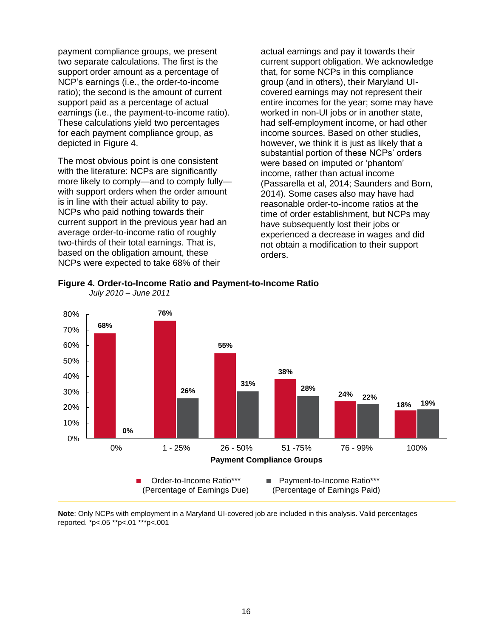payment compliance groups, we present two separate calculations. The first is the support order amount as a percentage of NCP's earnings (i.e., the order-to-income ratio); the second is the amount of current support paid as a percentage of actual earnings (i.e., the payment-to-income ratio). These calculations yield two percentages for each payment compliance group, as depicted in Figure 4.

The most obvious point is one consistent with the literature: NCPs are significantly more likely to comply—and to comply fully with support orders when the order amount is in line with their actual ability to pay. NCPs who paid nothing towards their current support in the previous year had an average order-to-income ratio of roughly two-thirds of their total earnings. That is, based on the obligation amount, these NCPs were expected to take 68% of their

actual earnings and pay it towards their current support obligation. We acknowledge that, for some NCPs in this compliance group (and in others), their Maryland UIcovered earnings may not represent their entire incomes for the year; some may have worked in non-UI jobs or in another state, had self-employment income, or had other income sources. Based on other studies, however, we think it is just as likely that a substantial portion of these NCPs' orders were based on imputed or 'phantom' income, rather than actual income (Passarella et al, 2014; Saunders and Born, 2014). Some cases also may have had reasonable order-to-income ratios at the time of order establishment, but NCPs may have subsequently lost their jobs or experienced a decrease in wages and did not obtain a modification to their support orders.



<span id="page-20-0"></span>**Figure 4. Order-to-Income Ratio and Payment-to-Income Ratio**

**Note**: Only NCPs with employment in a Maryland UI-covered job are included in this analysis. Valid percentages reported. \*p<.05 \*\*p<.01 \*\*\*p<.001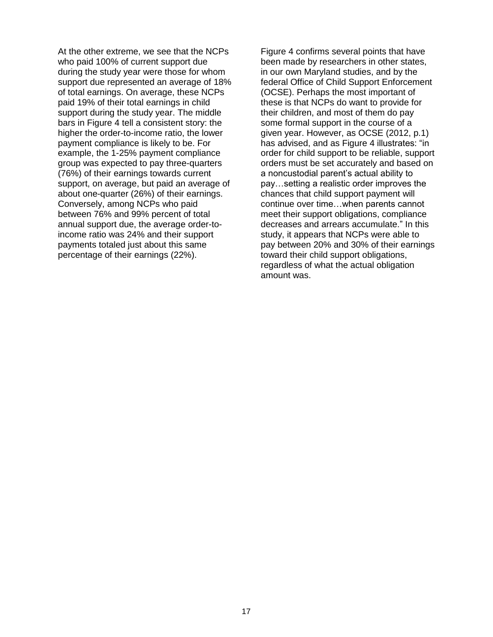At the other extreme, we see that the NCPs who paid 100% of current support due during the study year were those for whom support due represented an average of 18% of total earnings. On average, these NCPs paid 19% of their total earnings in child support during the study year. The middle bars in Figure 4 tell a consistent story: the higher the order-to-income ratio, the lower payment compliance is likely to be. For example, the 1-25% payment compliance group was expected to pay three-quarters (76%) of their earnings towards current support, on average, but paid an average of about one-quarter (26%) of their earnings. Conversely, among NCPs who paid between 76% and 99% percent of total annual support due, the average order-toincome ratio was 24% and their support payments totaled just about this same percentage of their earnings (22%).

Figure 4 confirms several points that have been made by researchers in other states, in our own Maryland studies, and by the federal Office of Child Support Enforcement (OCSE). Perhaps the most important of these is that NCPs do want to provide for their children, and most of them do pay some formal support in the course of a given year. However, as OCSE (2012, p.1) has advised, and as Figure 4 illustrates: "in order for child support to be reliable, support orders must be set accurately and based on a noncustodial parent's actual ability to pay…setting a realistic order improves the chances that child support payment will continue over time…when parents cannot meet their support obligations, compliance decreases and arrears accumulate." In this study, it appears that NCPs were able to pay between 20% and 30% of their earnings toward their child support obligations, regardless of what the actual obligation amount was.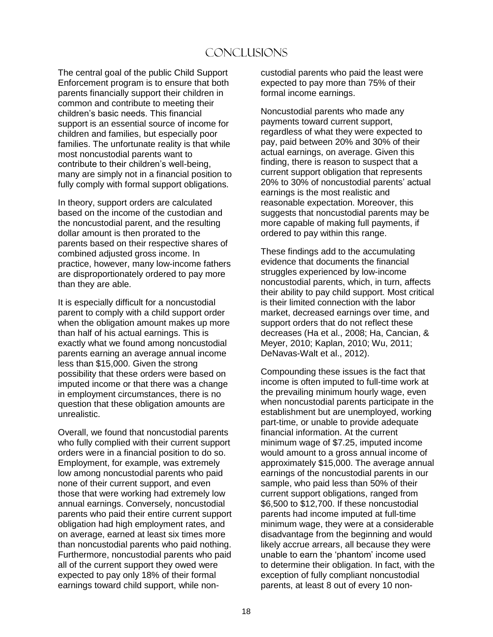# Conclusions

<span id="page-22-0"></span>The central goal of the public Child Support Enforcement program is to ensure that both parents financially support their children in common and contribute to meeting their children's basic needs. This financial support is an essential source of income for children and families, but especially poor families. The unfortunate reality is that while most noncustodial parents want to contribute to their children's well-being, many are simply not in a financial position to fully comply with formal support obligations.

In theory, support orders are calculated based on the income of the custodian and the noncustodial parent, and the resulting dollar amount is then prorated to the parents based on their respective shares of combined adjusted gross income. In practice, however, many low-income fathers are disproportionately ordered to pay more than they are able.

It is especially difficult for a noncustodial parent to comply with a child support order when the obligation amount makes up more than half of his actual earnings. This is exactly what we found among noncustodial parents earning an average annual income less than \$15,000. Given the strong possibility that these orders were based on imputed income or that there was a change in employment circumstances, there is no question that these obligation amounts are unrealistic.

Overall, we found that noncustodial parents who fully complied with their current support orders were in a financial position to do so. Employment, for example, was extremely low among noncustodial parents who paid none of their current support, and even those that were working had extremely low annual earnings. Conversely, noncustodial parents who paid their entire current support obligation had high employment rates, and on average, earned at least six times more than noncustodial parents who paid nothing. Furthermore, noncustodial parents who paid all of the current support they owed were expected to pay only 18% of their formal earnings toward child support, while noncustodial parents who paid the least were expected to pay more than 75% of their formal income earnings.

Noncustodial parents who made any payments toward current support, regardless of what they were expected to pay, paid between 20% and 30% of their actual earnings, on average. Given this finding, there is reason to suspect that a current support obligation that represents 20% to 30% of noncustodial parents' actual earnings is the most realistic and reasonable expectation. Moreover, this suggests that noncustodial parents may be more capable of making full payments, if ordered to pay within this range.

These findings add to the accumulating evidence that documents the financial struggles experienced by low-income noncustodial parents, which, in turn, affects their ability to pay child support. Most critical is their limited connection with the labor market, decreased earnings over time, and support orders that do not reflect these decreases (Ha et al., 2008; Ha, Cancian, & Meyer, 2010; Kaplan, 2010; Wu, 2011; DeNavas-Walt et al., 2012).

Compounding these issues is the fact that income is often imputed to full-time work at the prevailing minimum hourly wage, even when noncustodial parents participate in the establishment but are unemployed, working part-time, or unable to provide adequate financial information. At the current minimum wage of \$7.25, imputed income would amount to a gross annual income of approximately \$15,000. The average annual earnings of the noncustodial parents in our sample, who paid less than 50% of their current support obligations, ranged from \$6,500 to \$12,700. If these noncustodial parents had income imputed at full-time minimum wage, they were at a considerable disadvantage from the beginning and would likely accrue arrears, all because they were unable to earn the 'phantom' income used to determine their obligation. In fact, with the exception of fully compliant noncustodial parents, at least 8 out of every 10 non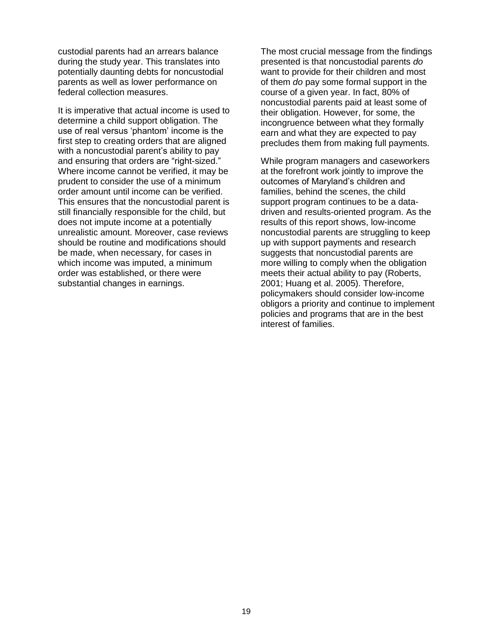custodial parents had an arrears balance during the study year. This translates into potentially daunting debts for noncustodial parents as well as lower performance on federal collection measures.

It is imperative that actual income is used to determine a child support obligation. The use of real versus 'phantom' income is the first step to creating orders that are aligned with a noncustodial parent's ability to pay and ensuring that orders are "right-sized." Where income cannot be verified, it may be prudent to consider the use of a minimum order amount until income can be verified. This ensures that the noncustodial parent is still financially responsible for the child, but does not impute income at a potentially unrealistic amount. Moreover, case reviews should be routine and modifications should be made, when necessary, for cases in which income was imputed, a minimum order was established, or there were substantial changes in earnings.

The most crucial message from the findings presented is that noncustodial parents *do* want to provide for their children and most of them *do* pay some formal support in the course of a given year. In fact, 80% of noncustodial parents paid at least some of their obligation. However, for some, the incongruence between what they formally earn and what they are expected to pay precludes them from making full payments.

While program managers and caseworkers at the forefront work jointly to improve the outcomes of Maryland's children and families, behind the scenes, the child support program continues to be a datadriven and results-oriented program. As the results of this report shows, low-income noncustodial parents are struggling to keep up with support payments and research suggests that noncustodial parents are more willing to comply when the obligation meets their actual ability to pay (Roberts, 2001; Huang et al. 2005). Therefore, policymakers should consider low-income obligors a priority and continue to implement policies and programs that are in the best interest of families.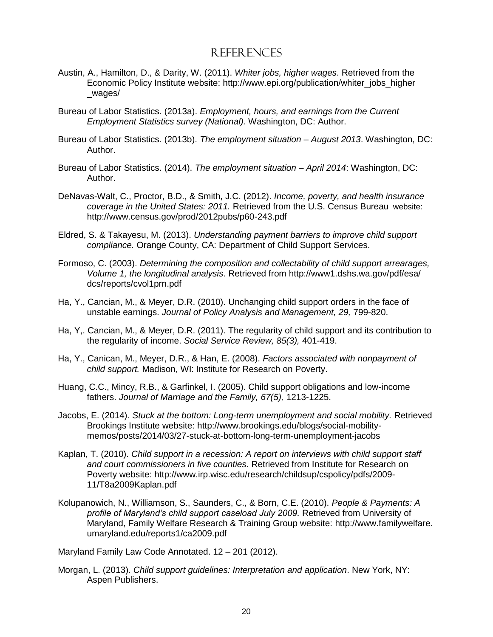#### References

- <span id="page-24-0"></span>Austin, A., Hamilton, D., & Darity, W. (2011). *Whiter jobs, higher wages*. Retrieved from the Economic Policy Institute website: [http://www.epi.org/publication/whiter\\_jobs\\_higher](http://www.epi.org/publication/whiter_jobs_higher_wages/)  [\\_wages/](http://www.epi.org/publication/whiter_jobs_higher_wages/)
- Bureau of Labor Statistics. (2013a). *Employment, hours, and earnings from the Current Employment Statistics survey (National).* Washington, DC: Author.
- Bureau of Labor Statistics. (2013b). *The employment situation – August 2013*. Washington, DC: Author.
- Bureau of Labor Statistics. (2014). *The employment situation – April 2014*: Washington, DC: Author.
- DeNavas-Walt, C., Proctor, B.D., & Smith, J.C. (2012). *Income, poverty, and health insurance coverage in the United States: 2011.* Retrieved from the U.S. Census Bureau website: <http://www.census.gov/prod/2012pubs/p60-243.pdf>
- Eldred, S. & Takayesu, M. (2013). *Understanding payment barriers to improve child support compliance.* Orange County, CA: Department of Child Support Services.
- Formoso, C. (2003). *Determining the composition and collectability of child support arrearages, Volume 1, the longitudinal analysis*. Retrieved from [http://www1.dshs.wa.gov/pdf/esa/](http://www1.dshs.wa.gov/pdf/esa/%20dcs/reports/cvol1prn.pdf)  [dcs/reports/cvol1prn.pdf](http://www1.dshs.wa.gov/pdf/esa/%20dcs/reports/cvol1prn.pdf)
- Ha, Y., Cancian, M., & Meyer, D.R. (2010). Unchanging child support orders in the face of unstable earnings. *Journal of Policy Analysis and Management, 29,* 799-820.
- Ha, Y,. Cancian, M., & Meyer, D.R. (2011). The regularity of child support and its contribution to the regularity of income. *Social Service Review, 85(3),* 401-419.
- Ha, Y., Canican, M., Meyer, D.R., & Han, E. (2008). *Factors associated with nonpayment of child support.* Madison, WI: Institute for Research on Poverty.
- Huang, C.C., Mincy, R.B., & Garfinkel, I. (2005). Child support obligations and low-income fathers. *Journal of Marriage and the Family, 67(5),* 1213-1225.
- Jacobs, E. (2014). *Stuck at the bottom: Long-term unemployment and social mobility.* Retrieved Brookings Institute website: [http://www.brookings.edu/blogs/social-mobility](http://www.brookings.edu/blogs/social-mobility-memos/posts/2014/03/27-stuck-at-bottom-long-term-unemployment-jacobs)[memos/posts/2014/03/27-stuck-at-bottom-long-term-unemployment-jacobs](http://www.brookings.edu/blogs/social-mobility-memos/posts/2014/03/27-stuck-at-bottom-long-term-unemployment-jacobs)
- Kaplan, T. (2010). *Child support in a recession: A report on interviews with child support staff and court commissioners in five counties*. Retrieved from Institute for Research on Poverty website: [http://www.irp.wisc.edu/research/childsup/cspolicy/pdfs/2009-](http://www.irp.wisc.edu/research/childsup/cspolicy/pdfs/2009-11/T8a2009Kaplan.pdf) [11/T8a2009Kaplan.pdf](http://www.irp.wisc.edu/research/childsup/cspolicy/pdfs/2009-11/T8a2009Kaplan.pdf)
- Kolupanowich, N., Williamson, S., Saunders, C., & Born, C.E. (2010). *People & Payments: A profile of Maryland's child support caseload July 2009.* Retrieved from University of Maryland, Family Welfare Research & Training Group website: http://www.familywelfare. umaryland.edu/reports1/ca2009.pdf

Maryland Family Law Code Annotated. 12 – 201 (2012).

Morgan, L. (2013). *Child support guidelines: Interpretation and application*. New York, NY: Aspen Publishers.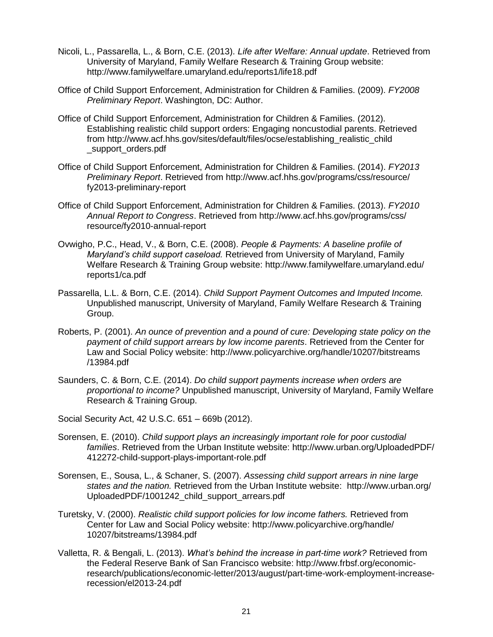- Nicoli, L., Passarella, L., & Born, C.E. (2013). *Life after Welfare: Annual update*. Retrieved from University of Maryland, Family Welfare Research & Training Group website: <http://www.familywelfare.umaryland.edu/reports1/life18.pdf>
- Office of Child Support Enforcement, Administration for Children & Families. (2009). *FY2008 Preliminary Report*. Washington, DC: Author.
- Office of Child Support Enforcement, Administration for Children & Families. (2012). Establishing realistic child support orders: Engaging noncustodial parents. Retrieved from [http://www.acf.hhs.gov/sites/default/files/ocse/establishing\\_realistic\\_child](http://www.acf.hhs.gov/sites/default/files/ocse/establishing_realistic_child_support_orders.pdf)  [\\_support\\_orders.pdf](http://www.acf.hhs.gov/sites/default/files/ocse/establishing_realistic_child_support_orders.pdf)
- Office of Child Support Enforcement, Administration for Children & Families. (2014). *FY2013 Preliminary Report*. Retrieved from [http://www.acf.hhs.gov/programs/css/resource/](http://www.acf.hhs.gov/programs/css/resource/%20fy2013-preliminary-report)  [fy2013-preliminary-report](http://www.acf.hhs.gov/programs/css/resource/%20fy2013-preliminary-report)
- Office of Child Support Enforcement, Administration for Children & Families. (2013). *FY2010 Annual Report to Congress*. Retrieved from [http://www.acf.hhs.gov/programs/css/](http://www.acf.hhs.gov/programs/css/resource/fy2010-annual-report)  [resource/fy2010-annual-report](http://www.acf.hhs.gov/programs/css/resource/fy2010-annual-report)
- Ovwigho, P.C., Head, V., & Born, C.E. (2008). *People & Payments: A baseline profile of Maryland's child support caseload.* Retrieved from University of Maryland, Family Welfare Research & Training Group website: [http://www.familywelfare.umaryland.edu/](http://www.familywelfare.umaryland.edu/reports1/ca.pdf)  [reports1/ca.pdf](http://www.familywelfare.umaryland.edu/reports1/ca.pdf)
- Passarella, L.L. & Born, C.E. (2014). *Child Support Payment Outcomes and Imputed Income.* Unpublished manuscript, University of Maryland, Family Welfare Research & Training Group.
- Roberts, P. (2001). *An ounce of prevention and a pound of cure: Developing state policy on the payment of child support arrears by low income parents*. Retrieved from the Center for Law and Social Policy website: [http://www.policyarchive.org/handle/10207/bitstreams](http://www.policyarchive.org/handle/10207/bitstreams/13984.pdf)  [/13984.pdf](http://www.policyarchive.org/handle/10207/bitstreams/13984.pdf)
- Saunders, C. & Born, C.E. (2014). *Do child support payments increase when orders are proportional to income?* Unpublished manuscript, University of Maryland, Family Welfare Research & Training Group.
- Social Security Act, 42 U.S.C. 651 669b (2012).
- Sorensen, E. (2010). *Child support plays an increasingly important role for poor custodial families*. Retrieved from the Urban Institute website: [http://www.urban.org/UploadedPDF/](http://www.urban.org/UploadedPDF/412272-child-support-plays-important-role.pdf)  [412272-child-support-plays-important-role.pdf](http://www.urban.org/UploadedPDF/412272-child-support-plays-important-role.pdf)
- Sorensen, E., Sousa, L., & Schaner, S. (2007). *Assessing child support arrears in nine large states and the nation.* Retrieved from the Urban Institute website: [http://www.urban.org/](http://www.urban.org/UploadedPDF/1001242_child_support_arrears.pdf)  [UploadedPDF/1001242\\_child\\_support\\_arrears.pdf](http://www.urban.org/UploadedPDF/1001242_child_support_arrears.pdf)
- Turetsky, V. (2000). *Realistic child support policies for low income fathers.* Retrieved from Center for Law and Social Policy website: [http://www.policyarchive.org/handle/](http://www.policyarchive.org/handle/10207/bitstreams/13984.pdf) [10207/bitstreams/13984.pdf](http://www.policyarchive.org/handle/10207/bitstreams/13984.pdf)
- Valletta, R. & Bengali, L. (2013). *What's behind the increase in part-time work?* Retrieved from the Federal Reserve Bank of San Francisco website: [http://www.frbsf.org/economic](http://www.frbsf.org/economic-research/publications/economic-letter/2013/august/part-time-work-employment-increase-recession/el2013-24.pdf)[research/publications/economic-letter/2013/august/part-time-work-employment-increase](http://www.frbsf.org/economic-research/publications/economic-letter/2013/august/part-time-work-employment-increase-recession/el2013-24.pdf)[recession/el2013-24.pdf](http://www.frbsf.org/economic-research/publications/economic-letter/2013/august/part-time-work-employment-increase-recession/el2013-24.pdf)